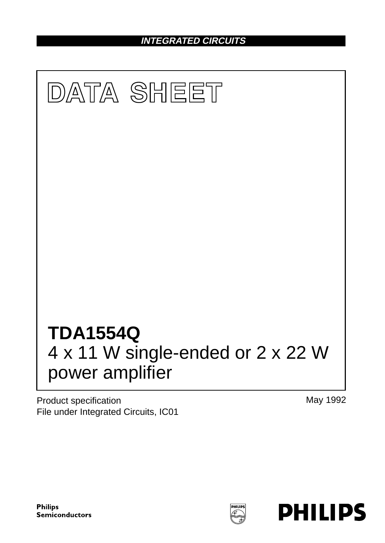**INTEGRATED CIRCUITS**



Product specification File under Integrated Circuits, IC01 May 1992

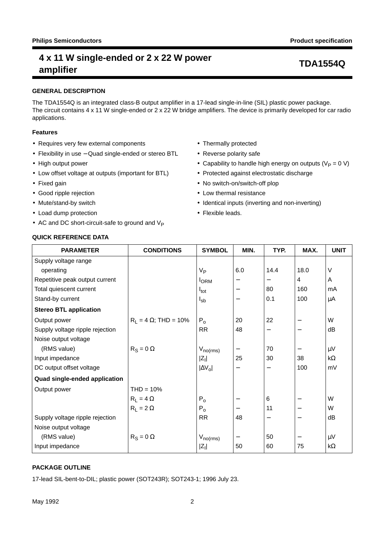### **GENERAL DESCRIPTION**

The TDA1554Q is an integrated class-B output amplifier in a 17-lead single-in-line (SIL) plastic power package. The circuit contains 4 x 11 W single-ended or 2 x 22 W bridge amplifiers. The device is primarily developed for car radio applications.

### **Features**

- Requires very few external components
- Flexibility in use − Quad single-ended or stereo BTL
- High output power
- Low offset voltage at outputs (important for BTL)
- Fixed gain
- Good ripple rejection
- Mute/stand-by switch
- Load dump protection
- AC and DC short-circuit-safe to ground and  $V_P$
- Thermally protected
- Reverse polarity safe
- Capability to handle high energy on outputs ( $V_P = 0$  V)
- Protected against electrostatic discharge
- No switch-on/switch-off plop
- Low thermal resistance
- Identical inputs (inverting and non-inverting)
- Flexible leads.

## **QUICK REFERENCE DATA**

| <b>PARAMETER</b>                | <b>CONDITIONS</b>            | <b>SYMBOL</b>          | MIN. | TYP. | MAX. | <b>UNIT</b> |
|---------------------------------|------------------------------|------------------------|------|------|------|-------------|
| Supply voltage range            |                              |                        |      |      |      |             |
| operating                       |                              | $V_{\mathsf{P}}$       | 6.0  | 14.4 | 18.0 | V           |
| Repetitive peak output current  |                              | <b>I</b> ORM           |      |      | 4    | A           |
| Total quiescent current         |                              | $I_{\text{tot}}$       |      | 80   | 160  | mA          |
| Stand-by current                |                              | $I_{sb}$               |      | 0.1  | 100  | μA          |
| <b>Stereo BTL application</b>   |                              |                        |      |      |      |             |
| Output power                    | $R_1 = 4 \Omega$ ; THD = 10% | $P_0$                  | 20   | 22   |      | W           |
| Supply voltage ripple rejection |                              | <b>RR</b>              | 48   |      | —    | dB          |
| Noise output voltage            |                              |                        |      |      |      |             |
| (RMS value)                     | $R_S = 0 \Omega$             | $V_{\textsf{no(rms)}}$ |      | 70   |      | $\mu$ V     |
| Input impedance                 |                              | $ Z_1 $                | 25   | 30   | 38   | $k\Omega$   |
| DC output offset voltage        |                              | $ \Delta V_o $         |      |      | 100  | mV          |
| Quad single-ended application   |                              |                        |      |      |      |             |
| Output power                    | $THD = 10%$                  |                        |      |      |      |             |
|                                 | $R_1 = 4 \Omega$             | $P_0$                  |      | 6    |      | W           |
|                                 | $R_1 = 2 \Omega$             | $P_0$                  |      | 11   |      | W           |
| Supply voltage ripple rejection |                              | <b>RR</b>              | 48   |      |      | dB          |
| Noise output voltage            |                              |                        |      |      |      |             |
| (RMS value)                     | $R_S = 0 \Omega$             | $V_{no(rms)}$          |      | 50   | —    | $\mu$ V     |
| Input impedance                 |                              | $ Z_1 $                | 50   | 60   | 75   | $k\Omega$   |

## **PACKAGE OUTLINE**

17-lead SIL-bent-to-DIL; plastic power (SOT243R); SOT243-1; 1996 July 23.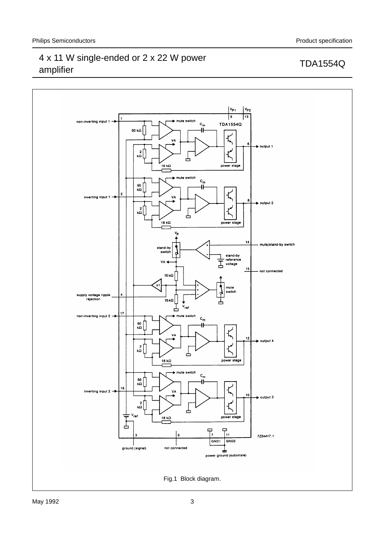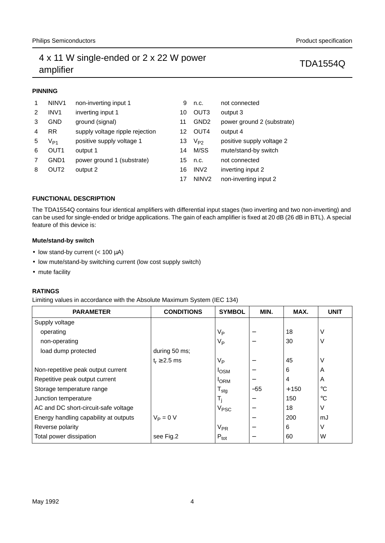## **PINNING**

| 1 | NINV <sub>1</sub>          | non-inverting input 1           | 9  | n.c.              | not connected              |
|---|----------------------------|---------------------------------|----|-------------------|----------------------------|
| 2 | INV <sub>1</sub>           | inverting input 1               | 10 | OUT <sub>3</sub>  | output 3                   |
| 3 | <b>GND</b>                 | ground (signal)                 | 11 | GND <sub>2</sub>  | power ground 2 (substrate) |
| 4 | <b>RR</b>                  | supply voltage ripple rejection | 12 | OUT <sub>4</sub>  | output 4                   |
| 5 | $\mathsf{V}_{\mathsf{P1}}$ | positive supply voltage 1       | 13 | $V_{P2}$          | positive supply voltage 2  |
| 6 | OUT <sub>1</sub>           | output 1                        | 14 | M/SS              | mute/stand-by switch       |
| 7 | GND1                       | power ground 1 (substrate)      | 15 | n.c.              | not connected              |
| 8 | OUT <sub>2</sub>           | output 2                        | 16 | IN <sub>V2</sub>  | inverting input 2          |
|   |                            |                                 | 17 | NIN <sub>V2</sub> | non-inverting input 2      |

### **FUNCTIONAL DESCRIPTION**

The TDA1554Q contains four identical amplifiers with differential input stages (two inverting and two non-inverting) and can be used for single-ended or bridge applications. The gain of each amplifier is fixed at 20 dB (26 dB in BTL). A special feature of this device is:

### **Mute/stand-by switch**

- low stand-by current  $(< 100 \mu A)$
- low mute/stand-by switching current (low cost supply switch)
- mute facility

### **RATINGS**

Limiting values in accordance with the Absolute Maximum System (IEC 134)

| <b>PARAMETER</b>                      | <b>CONDITIONS</b> | <b>SYMBOL</b>                | MIN.                     | MAX.           | <b>UNIT</b> |
|---------------------------------------|-------------------|------------------------------|--------------------------|----------------|-------------|
| Supply voltage                        |                   |                              |                          |                |             |
| operating                             |                   | V <sub>P</sub>               |                          | 18             | $\vee$      |
| non-operating                         |                   | V <sub>Р</sub>               |                          | 30             | V           |
| load dump protected                   | during 50 ms;     |                              |                          |                |             |
|                                       | $t_r \geq 2.5$ ms | V <sub>P</sub>               | -                        | 45             | $\vee$      |
| Non-repetitive peak output current    |                   | <b>I</b> OSM                 | $\overline{\phantom{0}}$ | 6              | A           |
| Repetitive peak output current        |                   | <b>I</b> ORM                 |                          | $\overline{4}$ | A           |
| Storage temperature range             |                   | ${\mathsf T}_{\textsf{stg}}$ | $-55$                    | $+150$         | $^{\circ}C$ |
| Junction temperature                  |                   | T,                           |                          | 150            | $^{\circ}C$ |
| AC and DC short-circuit-safe voltage  |                   | V <sub>PSC</sub>             |                          | 18             | $\vee$      |
| Energy handling capability at outputs | $V_P = 0 V$       |                              |                          | 200            | mJ          |
| Reverse polarity                      |                   | $V_{PR}$                     | -                        | 6              | $\vee$      |
| Total power dissipation               | see Fig.2         | $P_{\text{tot}}$             |                          | 60             | W           |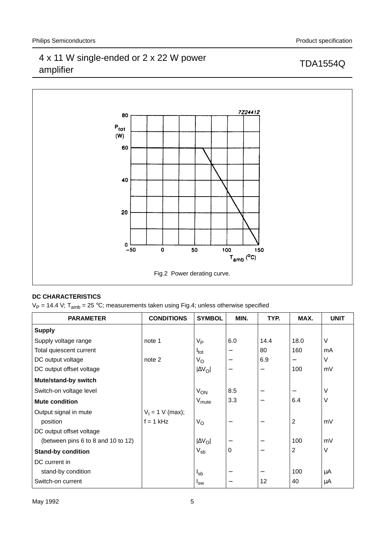

## **DC CHARACTERISTICS**

 $V_P = 14.4$  V; T<sub>amb</sub> = 25 °C; measurements taken using Fig.4; unless otherwise specified

| <b>PARAMETER</b>                   | <b>CONDITIONS</b>  | <b>SYMBOL</b>                | MIN.                     | TYP. | MAX.                     | <b>UNIT</b> |
|------------------------------------|--------------------|------------------------------|--------------------------|------|--------------------------|-------------|
| <b>Supply</b>                      |                    |                              |                          |      |                          |             |
| Supply voltage range               | note 1             | V <sub>P</sub>               | 6.0                      | 14.4 | 18.0                     | V           |
| Total quiescent current            |                    | <sup>I</sup> tot             | $\qquad \qquad$          | 80   | 160                      | mA          |
| DC output voltage                  | note 2             | $V_{\rm O}$                  | $\overline{\phantom{m}}$ | 6.9  |                          | V           |
| DC output offset voltage           |                    | $ \Delta V_O $               | $\overline{\phantom{m}}$ | —    | 100                      | mV          |
| Mute/stand-by switch               |                    |                              |                          |      |                          |             |
| Switch-on voltage level            |                    | $V_{ON}$                     | 8.5                      | —    | $\overline{\phantom{m}}$ | V           |
| <b>Mute condition</b>              |                    | $\mathsf{V}_{\mathsf{mute}}$ | 3.3                      |      | 6.4                      | V           |
| Output signal in mute              | $V_1 = 1$ V (max); |                              |                          |      |                          |             |
| position                           | $f = 1$ kHz        | $V_{\rm O}$                  | $\overline{\phantom{m}}$ | —    | $\overline{2}$           | mV          |
| DC output offset voltage           |                    |                              |                          |      |                          |             |
| (between pins 6 to 8 and 10 to 12) |                    | $ \Delta V_O $               |                          |      | 100                      | mV          |
| <b>Stand-by condition</b>          |                    | $\rm V_{sb}$                 | $\Omega$                 |      | $\overline{2}$           | V           |
| DC current in                      |                    |                              |                          |      |                          |             |
| stand-by condition                 |                    | <sup>l</sup> sb              | $\qquad \qquad$          |      | 100                      | μA          |
| Switch-on current                  |                    | $I_{SW}$                     | $\qquad \qquad$          | 12   | 40                       | μA          |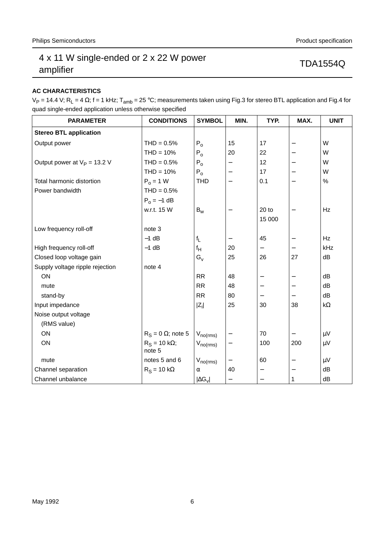## **AC CHARACTERISTICS**

 $V_P$  = 14.4 V; R<sub>L</sub> = 4 Ω; f = 1 kHz; T<sub>amb</sub> = 25 °C; measurements taken using Fig.3 for stereo BTL application and Fig.4 for quad single-ended application unless otherwise specified

| <b>PARAMETER</b>                | <b>CONDITIONS</b>              | <b>SYMBOL</b>        | MIN.                     | TYP.                     | MAX.                     | <b>UNIT</b> |
|---------------------------------|--------------------------------|----------------------|--------------------------|--------------------------|--------------------------|-------------|
| <b>Stereo BTL application</b>   |                                |                      |                          |                          |                          |             |
| Output power                    | $THD = 0.5%$                   | $P_0$                | 15                       | 17                       | $\overline{\phantom{m}}$ | W           |
|                                 | $THD = 10%$                    | $P_0$                | 20                       | 22                       |                          | W           |
| Output power at $V_P = 13.2$ V  | $THD = 0.5%$                   | $P_0$                | —                        | 12                       | $\overline{\phantom{m}}$ | W           |
|                                 | $THD = 10%$                    | $P_0$                | -                        | 17                       | $\overline{\phantom{m}}$ | W           |
| Total harmonic distortion       | $P_0 = 1$ W                    | <b>THD</b>           | $\overline{\phantom{0}}$ | 0.1                      | $\overline{\phantom{0}}$ | $\%$        |
| Power bandwidth                 | $THD = 0.5%$                   |                      |                          |                          |                          |             |
|                                 | $P_0 = -1$ dB                  |                      |                          |                          |                          |             |
|                                 | w.r.t. 15 W                    | $B_{w}$              |                          | $20$ to                  | $\qquad \qquad -$        | Hz          |
|                                 |                                |                      |                          | 15 000                   |                          |             |
| Low frequency roll-off          | note 3                         |                      |                          |                          |                          |             |
|                                 | $-1$ dB                        | $f_L$                | —                        | 45                       | $\qquad \qquad -$        | Hz          |
| High frequency roll-off         | $-1$ dB                        | $f_H$                | 20                       | $\overline{\phantom{0}}$ |                          | kHz         |
| Closed loop voltage gain        |                                | $G_{V}$              | 25                       | 26                       | 27                       | dB          |
| Supply voltage ripple rejection | note 4                         |                      |                          |                          |                          |             |
| ON                              |                                | <b>RR</b>            | 48                       | —                        |                          | dB          |
| mute                            |                                | <b>RR</b>            | 48                       | $\overline{\phantom{0}}$ | $\overline{\phantom{m}}$ | dB          |
| stand-by                        |                                | RR                   | 80                       | —                        | $\qquad \qquad -$        | dB          |
| Input impedance                 |                                | $ Z_i $              | 25                       | 30                       | 38                       | $k\Omega$   |
| Noise output voltage            |                                |                      |                          |                          |                          |             |
| (RMS value)                     |                                |                      |                          |                          |                          |             |
| ON                              | $R_S = 0 \Omega$ ; note 5      | $V_{no(rms)}$        |                          | 70                       | $\qquad \qquad -$        | μV          |
| ON                              | $R_S = 10 k\Omega$ ;<br>note 5 | $V_{no(rms)}$        | —                        | 100                      | 200                      | $\mu V$     |
| mute                            | notes 5 and 6                  | $V_{no(rms)}$        | —                        | 60                       |                          | μV          |
| Channel separation              | $R_S = 10 k\Omega$             | $\alpha$             | 40                       | $\overline{\phantom{0}}$ | $\overline{\phantom{m}}$ | dB          |
| Channel unbalance               |                                | $ \Delta G_{\rm V} $ | $\overline{\phantom{0}}$ | $\overline{\phantom{0}}$ | $\mathbf{1}$             | dB          |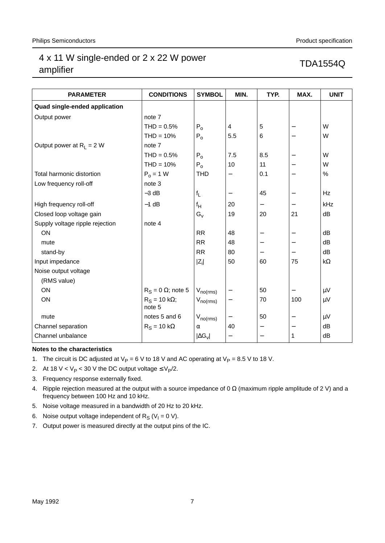| <b>PARAMETER</b>                | <b>CONDITIONS</b>              | <b>SYMBOL</b>        | MIN.                     | TYP.                     | MAX.                     | <b>UNIT</b> |
|---------------------------------|--------------------------------|----------------------|--------------------------|--------------------------|--------------------------|-------------|
| Quad single-ended application   |                                |                      |                          |                          |                          |             |
|                                 |                                |                      |                          |                          |                          |             |
| Output power                    | note 7                         |                      |                          |                          |                          |             |
|                                 | $THD = 0.5%$                   | $P_{0}$              | 4                        | 5                        | $\qquad \qquad -$        | W           |
|                                 | $THD = 10%$                    | $P_0$                | 5.5                      | 6                        | $\qquad \qquad -$        | W           |
| Output power at $R_L = 2 W$     | note 7                         |                      |                          |                          |                          |             |
|                                 | $THD = 0.5%$                   | $P_0$                | 7.5                      | 8.5                      | $\qquad \qquad -$        | W           |
|                                 | $THD = 10%$                    | $P_0$                | 10                       | 11                       |                          | W           |
| Total harmonic distortion       | $P_0 = 1$ W                    | <b>THD</b>           | —                        | 0.1                      |                          | %           |
| Low frequency roll-off          | note 3                         |                      |                          |                          |                          |             |
|                                 | $-3$ dB                        | $f_L$                | —                        | 45                       | $\qquad \qquad -$        | Hz          |
| High frequency roll-off         | $-1$ dB                        | $f_H$                | 20                       |                          |                          | kHz         |
| Closed loop voltage gain        |                                | $G_{V}$              | 19                       | 20                       | 21                       | dB          |
| Supply voltage ripple rejection | note 4                         |                      |                          |                          |                          |             |
| ON                              |                                | <b>RR</b>            | 48                       | $\overline{\phantom{0}}$ |                          | dB          |
| mute                            |                                | <b>RR</b>            | 48                       | $\qquad \qquad -$        | $\qquad \qquad -$        | dB          |
| stand-by                        |                                | <b>RR</b>            | 80                       | $\qquad \qquad -$        | $\overline{\phantom{m}}$ | dB          |
| Input impedance                 |                                | $ Z_i $              | 50                       | 60                       | 75                       | $k\Omega$   |
| Noise output voltage            |                                |                      |                          |                          |                          |             |
| (RMS value)                     |                                |                      |                          |                          |                          |             |
| ON                              | $R_S = 0 \Omega$ ; note 5      | $V_{\text{no(rms)}}$ |                          | 50                       |                          | $\mu V$     |
| ON                              | $R_S = 10 k\Omega$ ;<br>note 5 | $V_{no(rms)}$        | —                        | 70                       | 100                      | $\mu V$     |
| mute                            | notes 5 and 6                  | $V_{no(rms)}$        | —                        | 50                       |                          | $\mu V$     |
| Channel separation              | $R_S = 10 k\Omega$             | $\alpha$             | 40                       | $\qquad \qquad -$        |                          | dB          |
| Channel unbalance               |                                | $ \Delta G_{\rm V} $ | $\overline{\phantom{0}}$ |                          | 1                        | dB          |

### **Notes to the characteristics**

- 1. The circuit is DC adjusted at  $V_P = 6$  V to 18 V and AC operating at  $V_P = 8.5$  V to 18 V.
- 2. At 18 V <  $V_P$  < 30 V the DC output voltage  $\leq V_P/2$ .
- 3. Frequency response externally fixed.
- 4. Ripple rejection measured at the output with a source impedance of 0  $\Omega$  (maximum ripple amplitude of 2 V) and a frequency between 100 Hz and 10 kHz.
- 5. Noise voltage measured in a bandwidth of 20 Hz to 20 kHz.
- 6. Noise output voltage independent of  $R_S (V_1 = 0 V)$ .
- 7. Output power is measured directly at the output pins of the IC.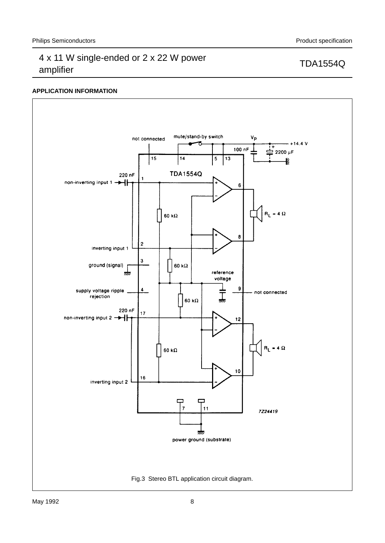## **APPLICATION INFORMATION**

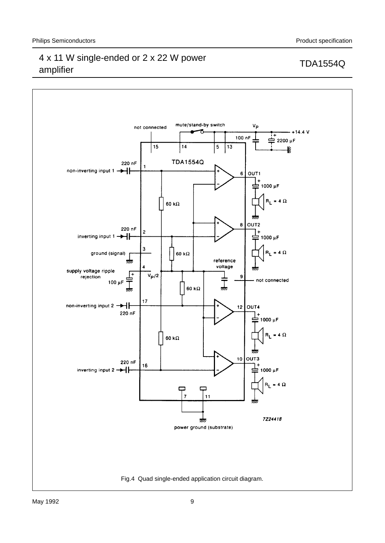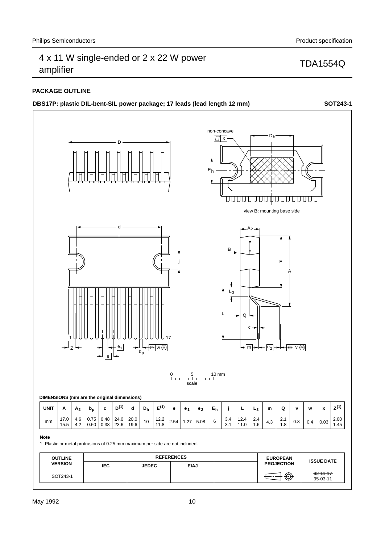## **PACKAGE OUTLINE**